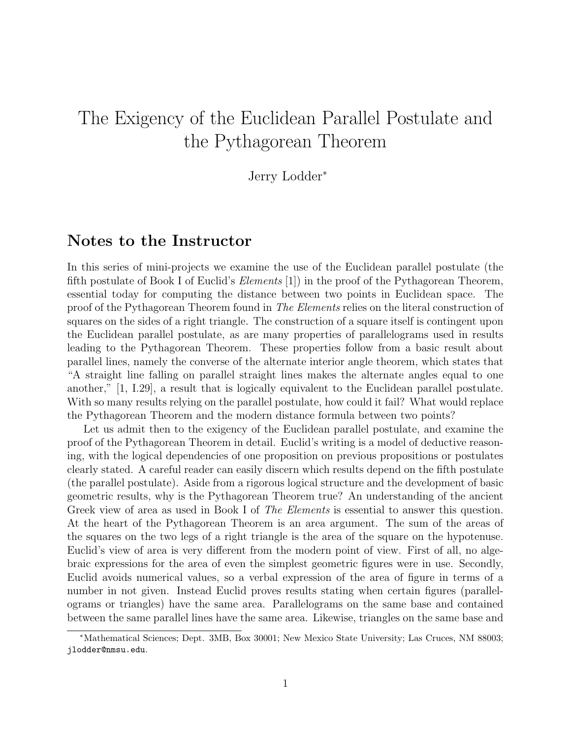# The Exigency of the Euclidean Parallel Postulate and the Pythagorean Theorem

Jerry Lodder<sup>∗</sup>

#### Notes to the Instructor

In this series of mini-projects we examine the use of the Euclidean parallel postulate (the fifth postulate of Book I of Euclid's Elements [1]) in the proof of the Pythagorean Theorem, essential today for computing the distance between two points in Euclidean space. The proof of the Pythagorean Theorem found in The Elements relies on the literal construction of squares on the sides of a right triangle. The construction of a square itself is contingent upon the Euclidean parallel postulate, as are many properties of parallelograms used in results leading to the Pythagorean Theorem. These properties follow from a basic result about parallel lines, namely the converse of the alternate interior angle theorem, which states that "A straight line falling on parallel straight lines makes the alternate angles equal to one another," [1, I.29], a result that is logically equivalent to the Euclidean parallel postulate. With so many results relying on the parallel postulate, how could it fail? What would replace the Pythagorean Theorem and the modern distance formula between two points?

Let us admit then to the exigency of the Euclidean parallel postulate, and examine the proof of the Pythagorean Theorem in detail. Euclid's writing is a model of deductive reasoning, with the logical dependencies of one proposition on previous propositions or postulates clearly stated. A careful reader can easily discern which results depend on the fifth postulate (the parallel postulate). Aside from a rigorous logical structure and the development of basic geometric results, why is the Pythagorean Theorem true? An understanding of the ancient Greek view of area as used in Book I of *The Elements* is essential to answer this question. At the heart of the Pythagorean Theorem is an area argument. The sum of the areas of the squares on the two legs of a right triangle is the area of the square on the hypotenuse. Euclid's view of area is very different from the modern point of view. First of all, no algebraic expressions for the area of even the simplest geometric figures were in use. Secondly, Euclid avoids numerical values, so a verbal expression of the area of figure in terms of a number in not given. Instead Euclid proves results stating when certain figures (parallelograms or triangles) have the same area. Parallelograms on the same base and contained between the same parallel lines have the same area. Likewise, triangles on the same base and

<sup>∗</sup>Mathematical Sciences; Dept. 3MB, Box 30001; New Mexico State University; Las Cruces, NM 88003; jlodder@nmsu.edu.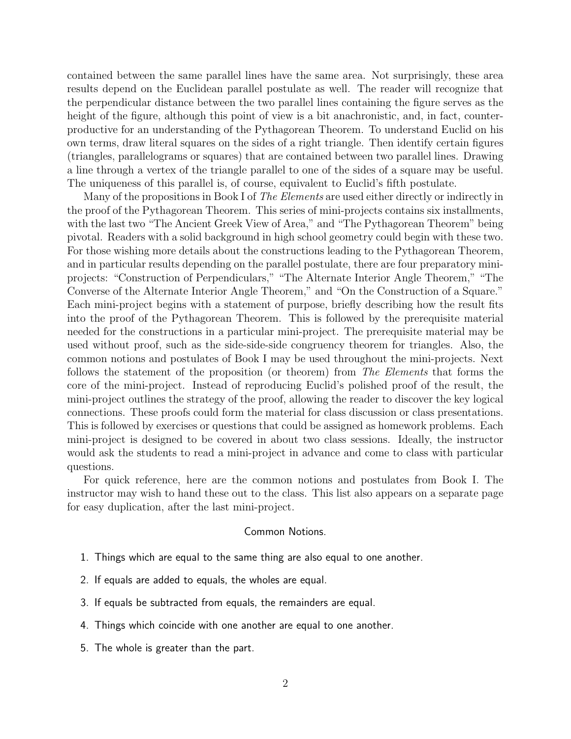contained between the same parallel lines have the same area. Not surprisingly, these area results depend on the Euclidean parallel postulate as well. The reader will recognize that the perpendicular distance between the two parallel lines containing the figure serves as the height of the figure, although this point of view is a bit anachronistic, and, in fact, counterproductive for an understanding of the Pythagorean Theorem. To understand Euclid on his own terms, draw literal squares on the sides of a right triangle. Then identify certain figures (triangles, parallelograms or squares) that are contained between two parallel lines. Drawing a line through a vertex of the triangle parallel to one of the sides of a square may be useful. The uniqueness of this parallel is, of course, equivalent to Euclid's fifth postulate.

Many of the propositions in Book I of *The Elements* are used either directly or indirectly in the proof of the Pythagorean Theorem. This series of mini-projects contains six installments, with the last two "The Ancient Greek View of Area," and "The Pythagorean Theorem" being pivotal. Readers with a solid background in high school geometry could begin with these two. For those wishing more details about the constructions leading to the Pythagorean Theorem, and in particular results depending on the parallel postulate, there are four preparatory miniprojects: "Construction of Perpendiculars," "The Alternate Interior Angle Theorem," "The Converse of the Alternate Interior Angle Theorem," and "On the Construction of a Square." Each mini-project begins with a statement of purpose, briefly describing how the result fits into the proof of the Pythagorean Theorem. This is followed by the prerequisite material needed for the constructions in a particular mini-project. The prerequisite material may be used without proof, such as the side-side-side congruency theorem for triangles. Also, the common notions and postulates of Book I may be used throughout the mini-projects. Next follows the statement of the proposition (or theorem) from The Elements that forms the core of the mini-project. Instead of reproducing Euclid's polished proof of the result, the mini-project outlines the strategy of the proof, allowing the reader to discover the key logical connections. These proofs could form the material for class discussion or class presentations. This is followed by exercises or questions that could be assigned as homework problems. Each mini-project is designed to be covered in about two class sessions. Ideally, the instructor would ask the students to read a mini-project in advance and come to class with particular questions.

For quick reference, here are the common notions and postulates from Book I. The instructor may wish to hand these out to the class. This list also appears on a separate page for easy duplication, after the last mini-project.

#### Common Notions.

- 1. Things which are equal to the same thing are also equal to one another.
- 2. If equals are added to equals, the wholes are equal.
- 3. If equals be subtracted from equals, the remainders are equal.
- 4. Things which coincide with one another are equal to one another.
- 5. The whole is greater than the part.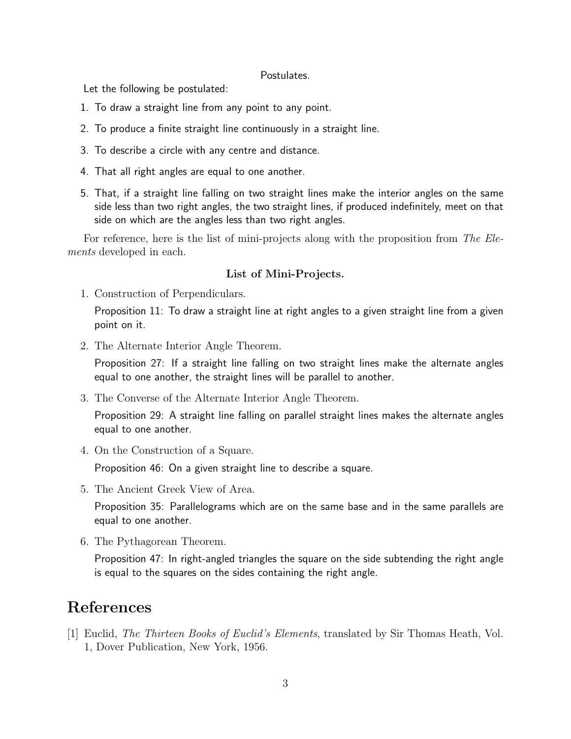#### Postulates.

Let the following be postulated:

- 1. To draw a straight line from any point to any point.
- 2. To produce a finite straight line continuously in a straight line.
- 3. To describe a circle with any centre and distance.
- 4. That all right angles are equal to one another.
- 5. That, if a straight line falling on two straight lines make the interior angles on the same side less than two right angles, the two straight lines, if produced indefinitely, meet on that side on which are the angles less than two right angles.

For reference, here is the list of mini-projects along with the proposition from The Elements developed in each.

#### List of Mini-Projects.

1. Construction of Perpendiculars.

Proposition 11: To draw a straight line at right angles to a given straight line from a given point on it.

2. The Alternate Interior Angle Theorem.

Proposition 27: If a straight line falling on two straight lines make the alternate angles equal to one another, the straight lines will be parallel to another.

3. The Converse of the Alternate Interior Angle Theorem.

Proposition 29: A straight line falling on parallel straight lines makes the alternate angles equal to one another.

4. On the Construction of a Square.

Proposition 46: On a given straight line to describe a square.

5. The Ancient Greek View of Area.

Proposition 35: Parallelograms which are on the same base and in the same parallels are equal to one another.

6. The Pythagorean Theorem.

Proposition 47: In right-angled triangles the square on the side subtending the right angle is equal to the squares on the sides containing the right angle.

### References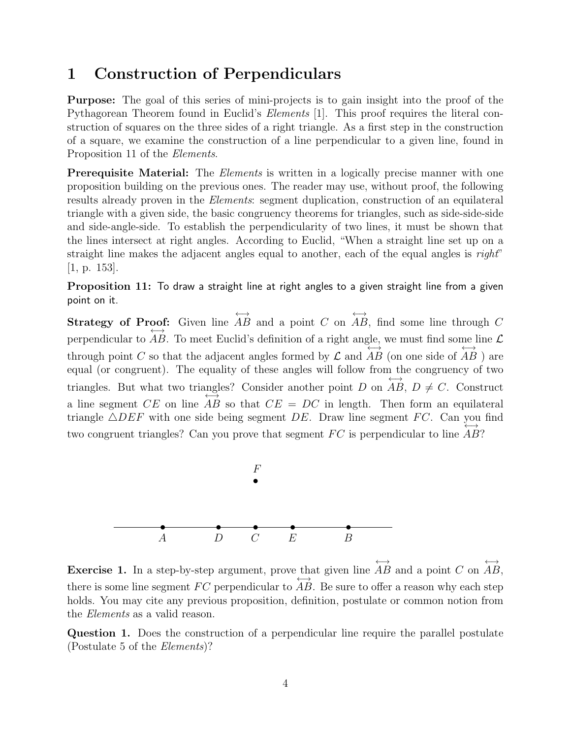### 1 Construction of Perpendiculars

Purpose: The goal of this series of mini-projects is to gain insight into the proof of the Pythagorean Theorem found in Euclid's *Elements* [1]. This proof requires the literal construction of squares on the three sides of a right triangle. As a first step in the construction of a square, we examine the construction of a line perpendicular to a given line, found in Proposition 11 of the Elements.

**Prerequisite Material:** The *Elements* is written in a logically precise manner with one proposition building on the previous ones. The reader may use, without proof, the following results already proven in the *Elements*: segment duplication, construction of an equilateral triangle with a given side, the basic congruency theorems for triangles, such as side-side-side and side-angle-side. To establish the perpendicularity of two lines, it must be shown that the lines intersect at right angles. According to Euclid, "When a straight line set up on a straight line makes the adjacent angles equal to another, each of the equal angles is right" [1, p. 153].

Proposition 11: To draw a straight line at right angles to a given straight line from a given point on it.

Strategy of Proof: Given line  $\xrightarrow{ }$ AB and a point C on  $\xrightarrow{ }$ **oof:** Given line AB and a point C on AB, find some line through C perpendicular to AB. To meet Euclid's definition of a right angle, we must find some line  $\mathcal L$ through point C so that the adjacent angles formed by  $\mathcal L$  and ←→ AB (on one side of ←→  $AB$  ) are equal (or congruent). The equality of these angles will follow from the congruency of two triangles. But what two triangles? Consider another point D on ←→ ngles? Consider another point D on AB,  $D \neq C$ . Construct a line segment  $CE$  on line  $AB$  so that  $CE = DC$  in length. Then form an equilateral triangle  $\triangle DEF$  with one side being segment DE. Draw line segment FC. Can you find two congruent triangles? Can you prove that segment  $FC$  is perpendicular to line  $AB$ ?



Exercise 1. In a step-by-step argument, prove that given line ←→ AB and a point C on ←→ that given line AB and a point C on AB, there is some line segment  $FC$  perpendicular to  $AB$ . Be sure to offer a reason why each step holds. You may cite any previous proposition, definition, postulate or common notion from the Elements as a valid reason.

Question 1. Does the construction of a perpendicular line require the parallel postulate (Postulate 5 of the Elements)?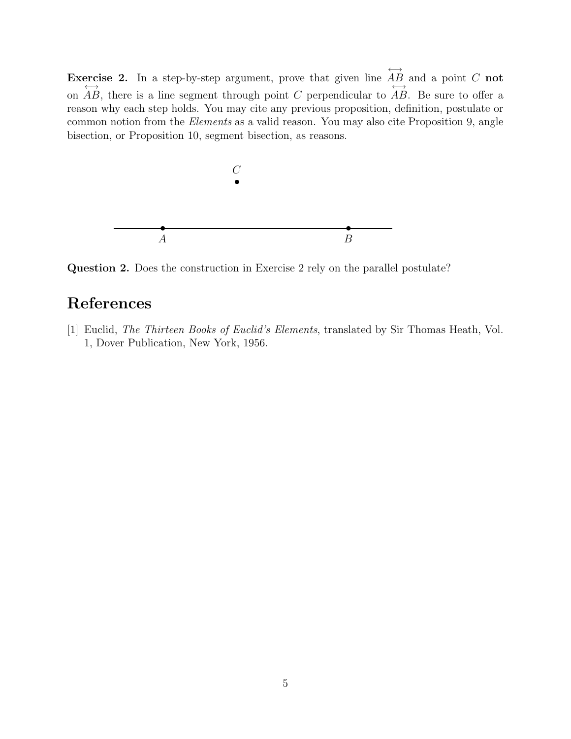Exercise 2. In a step-by-step argument, prove that given line ←→ excise 2. In a step-by-step argument, prove that given line  $\overrightarrow{AB}$  and a point C not on  $AB$ , there is a line segment through point C perpendicular to  $AB$ . Be sure to offer a reason why each step holds. You may cite any previous proposition, definition, postulate or common notion from the Elements as a valid reason. You may also cite Proposition 9, angle bisection, or Proposition 10, segment bisection, as reasons.



Question 2. Does the construction in Exercise 2 rely on the parallel postulate?

### References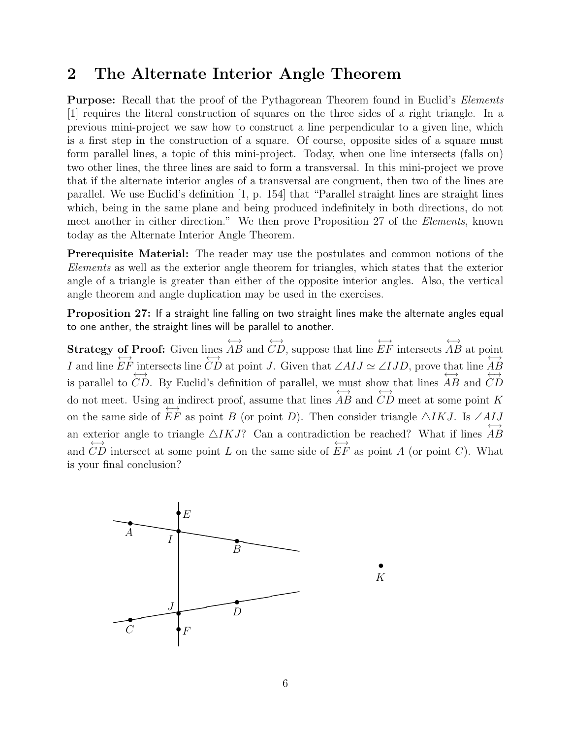#### 2 The Alternate Interior Angle Theorem

**Purpose:** Recall that the proof of the Pythagorean Theorem found in Euclid's *Elements* [1] requires the literal construction of squares on the three sides of a right triangle. In a previous mini-project we saw how to construct a line perpendicular to a given line, which is a first step in the construction of a square. Of course, opposite sides of a square must form parallel lines, a topic of this mini-project. Today, when one line intersects (falls on) two other lines, the three lines are said to form a transversal. In this mini-project we prove that if the alternate interior angles of a transversal are congruent, then two of the lines are parallel. We use Euclid's definition [1, p. 154] that "Parallel straight lines are straight lines which, being in the same plane and being produced indefinitely in both directions, do not meet another in either direction." We then prove Proposition 27 of the Elements, known today as the Alternate Interior Angle Theorem.

Prerequisite Material: The reader may use the postulates and common notions of the Elements as well as the exterior angle theorem for triangles, which states that the exterior angle of a triangle is greater than either of the opposite interior angles. Also, the vertical angle theorem and angle duplication may be used in the exercises.

Proposition 27: If a straight line falling on two straight lines make the alternate angles equal to one anther, the straight lines will be parallel to another.

Strategy of Proof: Given lines ←→ AB and ←→ CD, suppose that line ←→ EF intersects ←→ AB at point I and line ←→ EF intersects line  $\overleftrightarrow{CD}$  at point *J*. Given that  $\angle AIJ \simeq \angle IJD$ , prove that line  $\overleftrightarrow{AB}$ AB is parallel to ←→ CD. By Euclid's definition of parallel, we must show that lines ←→ AB and ←→  $CD$ do not meet. Using an indirect proof, assume that lines ←→ AB and ←→  $CD$  meet at some point  $K$ on the same side of  $\overleftrightarrow{EF}$  as point B (or point D). Then consider triangle  $\triangle IKJ$ . Is  $\angle AIJ$ an exterior angle to triangle  $\triangle IKJ$ ? Can a contradiction be reached? What if lines ←→ sterior angle to triangle  $\triangle IKJ$ ? Can a contradiction be reached? What if lines  $AB$ and CD intersect at some point L on the same side of  $EF$  as point A (or point C). What is your final conclusion?

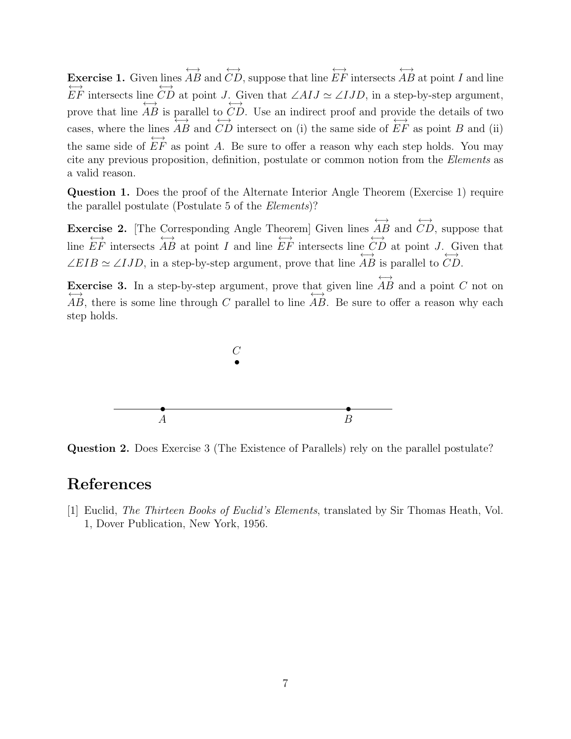Exercise 1. Given lines ←→ AB and ←→ CD, suppose that line ←→ EF intersects ←→  $AB$  at point I and line ←→ EF intersects line  $\overleftrightarrow{CD}$  at point J. Given that  $\angle AIJ \simeq \angle IJD$ , in a step-by-step argument, prove that line ←→ AB is parallel to ←→ CD. Use an indirect proof and provide the details of two cases, where the lines ←→ AB and ←→ CD intersect on (i) the same side of ←→  $EF$  as point  $B$  and (ii) the same side of ←→  $EF$  as point  $A$ . Be sure to offer a reason why each step holds. You may cite any previous proposition, definition, postulate or common notion from the Elements as a valid reason.

Question 1. Does the proof of the Alternate Interior Angle Theorem (Exercise 1) require the parallel postulate (Postulate 5 of the Elements)?

Exercise 2. [The Corresponding Angle Theorem] Given lines ←→ AB and ←→ CD, suppose that line ←→ EF intersects ←→ AB at point I and line ←→ EF intersects line ←→  $CD$  at point  $J$ . Given that  $\angle EIB \simeq \angle IJD$ , in a step-by-step argument, prove that line  $\overleftrightarrow{AB}$ AB is parallel to ←→ CD.

Exercise 3. In a step-by-step argument, prove that given line ←→ **Exercise 3.** In a step-by-step argument, prove that given line AB and a point C not on AB, there is some line through C parallel to line AB. Be sure to offer a reason why each step holds.



Question 2. Does Exercise 3 (The Existence of Parallels) rely on the parallel postulate?

#### References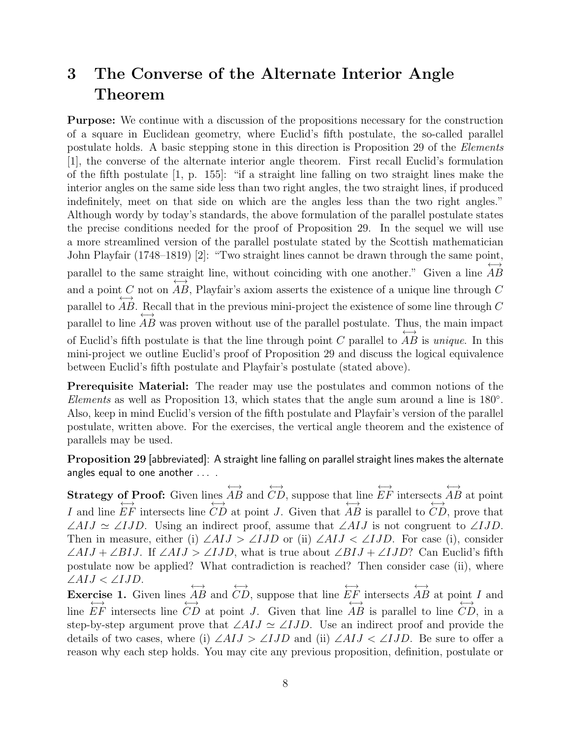## 3 The Converse of the Alternate Interior Angle Theorem

Purpose: We continue with a discussion of the propositions necessary for the construction of a square in Euclidean geometry, where Euclid's fifth postulate, the so-called parallel postulate holds. A basic stepping stone in this direction is Proposition 29 of the Elements [1], the converse of the alternate interior angle theorem. First recall Euclid's formulation of the fifth postulate [1, p. 155]: "if a straight line falling on two straight lines make the interior angles on the same side less than two right angles, the two straight lines, if produced indefinitely, meet on that side on which are the angles less than the two right angles." Although wordy by today's standards, the above formulation of the parallel postulate states the precise conditions needed for the proof of Proposition 29. In the sequel we will use a more streamlined version of the parallel postulate stated by the Scottish mathematician John Playfair (1748–1819) [2]: "Two straight lines cannot be drawn through the same point, parallel to the same straight line, without coinciding with one another." Given a line  $AB$ and a point C not on  $AB$ , Playfair's axiom asserts the existence of a unique line through C parallel to ←→ AB. Recall that in the previous mini-project the existence of some line through  $C$ parallel to line AB was proven without use of the parallel postulate. Thus, the main impact of Euclid's fifth postulate is that the line through point  $C$  parallel to ←→ AB is *unique*. In this mini-project we outline Euclid's proof of Proposition 29 and discuss the logical equivalence between Euclid's fifth postulate and Playfair's postulate (stated above).

Prerequisite Material: The reader may use the postulates and common notions of the Elements as well as Proposition 13, which states that the angle sum around a line is 180°. Also, keep in mind Euclid's version of the fifth postulate and Playfair's version of the parallel postulate, written above. For the exercises, the vertical angle theorem and the existence of parallels may be used.

Proposition 29 [abbreviated]: A straight line falling on parallel straight lines makes the alternate angles equal to one another ....

Strategy of Proof: Given lines  $\xrightarrow{ }$ AB and  $\xrightarrow{ }$ CD, suppose that line  $\xrightarrow{ }$ EF intersects  $\xrightarrow{ }$ **of Proof:** Given lines AB and CD, suppose that line EF intersects AB at point I and line EF intersects line CD at point J. Given that AB is parallel to CD, prove that ∠AIJ  $\simeq \angle IJD$ . Using an indirect proof, assume that  $\angle AIJ$  is not congruent to  $\angle IJD$ . Then in measure, either (i)  $\angle AIJ > \angle IJD$  or (ii)  $\angle AIJ < \angle IJD$ . For case (i), consider  $\angle AIJ + \angle BIJ$ . If  $\angle AIJ > \angle IJD$ , what is true about  $\angle BIJ + \angle IJD$ ? Can Euclid's fifth postulate now be applied? What contradiction is reached? Then consider case (ii), where ∠AIJ < ∠IJD. ←→ ←→ ←→ ←→

Exercise 1. Given lines AB and CD, suppose that line EF intersects rcise 1. Given lines  $\overrightarrow{AB}$  and  $CD$ , suppose that line  $\overrightarrow{EF}$  intersects  $\overrightarrow{AB}$  at point I and line  $EF$  intersects line  $CD$  at point J. Given that line AB is parallel to line  $CD$ , in a step-by-step argument prove that  $\angle A I J \simeq \angle I J D$ . Use an indirect proof and provide the details of two cases, where (i)  $\angle AIJ > \angle IJD$  and (ii)  $\angle AIJ < \angle IJD$ . Be sure to offer a reason why each step holds. You may cite any previous proposition, definition, postulate or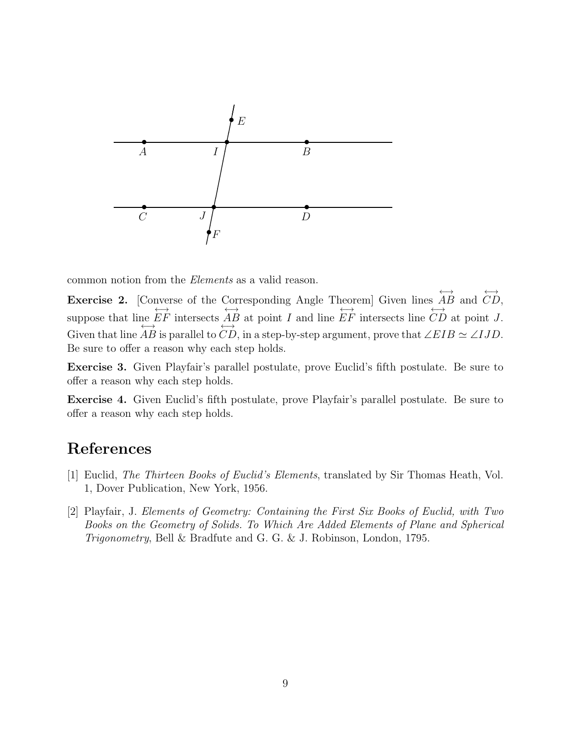

common notion from the Elements as a valid reason.

Exercise 2. [Converse of the Corresponding Angle Theorem] Given lines  $\xrightarrow{ }$ AB and  $\xrightarrow{ }$ CD, suppose that line ←→ EF intersects ←→ AB at point I and line ←→ EF intersects line ←→ ne EF intersects  $\overrightarrow{AB}$  at point I and line EF intersects line CD at point J. Given that line  $\overrightarrow{AB}$  is parallel to  $\overrightarrow{CD}$ , in a step-by-step argument, prove that  $\angle EIB \simeq \angle IJD$ . Be sure to offer a reason why each step holds.

Exercise 3. Given Playfair's parallel postulate, prove Euclid's fifth postulate. Be sure to offer a reason why each step holds.

Exercise 4. Given Euclid's fifth postulate, prove Playfair's parallel postulate. Be sure to offer a reason why each step holds.

### References

- [1] Euclid, The Thirteen Books of Euclid's Elements, translated by Sir Thomas Heath, Vol. 1, Dover Publication, New York, 1956.
- [2] Playfair, J. Elements of Geometry: Containing the First Six Books of Euclid, with Two Books on the Geometry of Solids. To Which Are Added Elements of Plane and Spherical Trigonometry, Bell & Bradfute and G. G. & J. Robinson, London, 1795.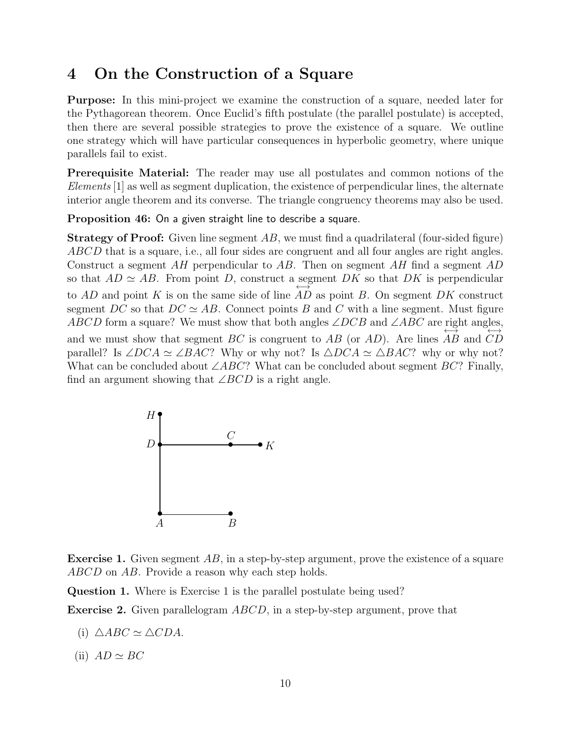### 4 On the Construction of a Square

Purpose: In this mini-project we examine the construction of a square, needed later for the Pythagorean theorem. Once Euclid's fifth postulate (the parallel postulate) is accepted, then there are several possible strategies to prove the existence of a square. We outline one strategy which will have particular consequences in hyperbolic geometry, where unique parallels fail to exist.

Prerequisite Material: The reader may use all postulates and common notions of the Elements [1] as well as segment duplication, the existence of perpendicular lines, the alternate interior angle theorem and its converse. The triangle congruency theorems may also be used.

Proposition 46: On a given straight line to describe a square.

**Strategy of Proof:** Given line segment  $AB$ , we must find a quadrilateral (four-sided figure) ABCD that is a square, i.e., all four sides are congruent and all four angles are right angles. Construct a segment AH perpendicular to AB. Then on segment AH find a segment AD so that  $AD \simeq AB$ . From point D, construct a segment DK so that DK is perpendicular to  $AD$  and point K is on the same side of line  $AD$  as point B. On segment  $DK$  construct segment DC so that  $DC \simeq AB$ . Connect points B and C with a line segment. Must figure ABCD form a square? We must show that both angles  $\angle DCB$  and  $\angle ABC$  are right angles, and we must show that segment  $BC$  is congruent to  $AB$  (or  $AD$ ). Are lines  $AB$  and  $CD$ parallel? Is  $\angle DCA \simeq \angle BAC$ ? Why or why not? Is  $\triangle DCA \simeq \triangle BAC$ ? why or why not? What can be concluded about  $\angle ABC$ ? What can be concluded about segment  $BC$ ? Finally, find an argument showing that  $\angle BCD$  is a right angle.



Exercise 1. Given segment AB, in a step-by-step argument, prove the existence of a square ABCD on AB. Provide a reason why each step holds.

Question 1. Where is Exercise 1 is the parallel postulate being used?

Exercise 2. Given parallelogram ABCD, in a step-by-step argument, prove that

- (i)  $\triangle ABC \simeq \triangle CDA$ .
- (ii)  $AD \simeq BC$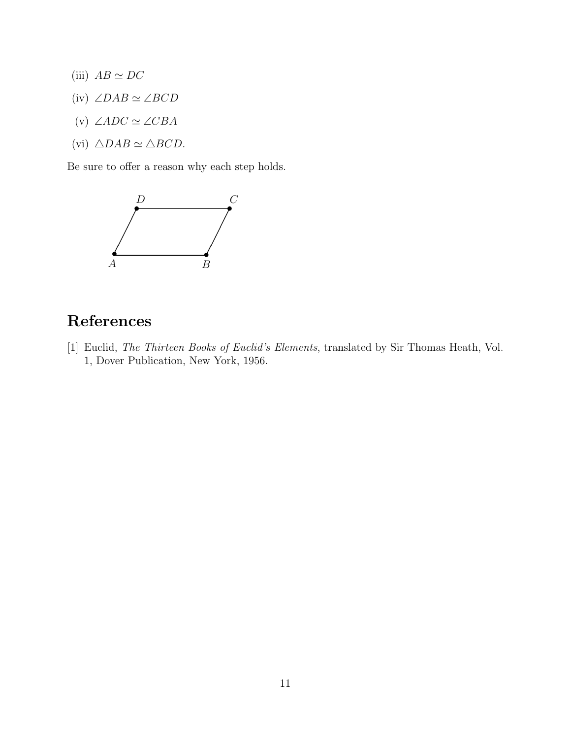- (iii)  $AB \simeq DC$
- (iv)  $\angle DAB \simeq \angle BCD$
- (v)  $\angle ADC \simeq \angle CBA$
- (vi)  $\triangle DAB \simeq \triangle BCD$ .

Be sure to offer a reason why each step holds.



## References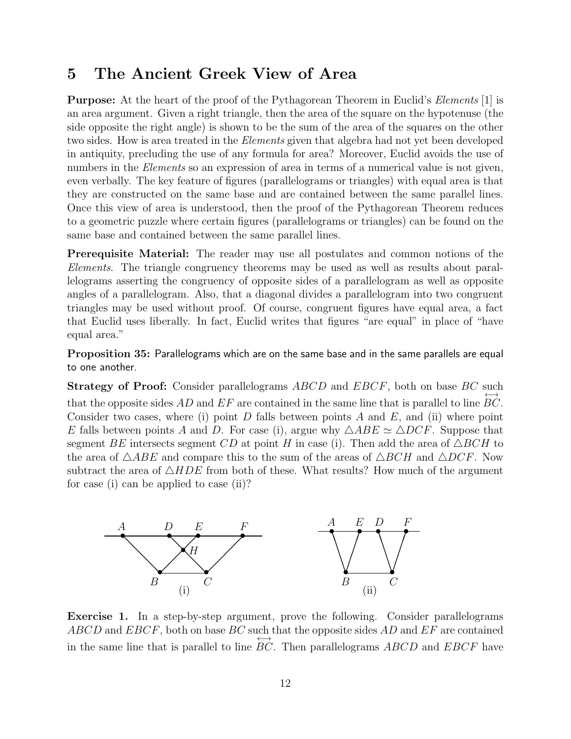### 5 The Ancient Greek View of Area

**Purpose:** At the heart of the proof of the Pythagorean Theorem in Euclid's *Elements* [1] is an area argument. Given a right triangle, then the area of the square on the hypotenuse (the side opposite the right angle) is shown to be the sum of the area of the squares on the other two sides. How is area treated in the *Elements* given that algebra had not yet been developed in antiquity, precluding the use of any formula for area? Moreover, Euclid avoids the use of numbers in the *Elements* so an expression of area in terms of a numerical value is not given, even verbally. The key feature of figures (parallelograms or triangles) with equal area is that they are constructed on the same base and are contained between the same parallel lines. Once this view of area is understood, then the proof of the Pythagorean Theorem reduces to a geometric puzzle where certain figures (parallelograms or triangles) can be found on the same base and contained between the same parallel lines.

Prerequisite Material: The reader may use all postulates and common notions of the Elements. The triangle congruency theorems may be used as well as results about parallelograms asserting the congruency of opposite sides of a parallelogram as well as opposite angles of a parallelogram. Also, that a diagonal divides a parallelogram into two congruent triangles may be used without proof. Of course, congruent figures have equal area, a fact that Euclid uses liberally. In fact, Euclid writes that figures "are equal" in place of "have equal area."

Proposition 35: Parallelograms which are on the same base and in the same parallels are equal to one another.

Strategy of Proof: Consider parallelograms ABCD and EBCF, both on base BC such that the opposite sides  $AD$  and  $EF$  are contained in the same line that is parallel to line ←→ BC. Consider two cases, where (i) point D falls between points A and E, and (ii) where point E falls between points A and D. For case (i), argue why  $\triangle ABE \simeq \triangle DCF$ . Suppose that segment BE intersects segment CD at point H in case (i). Then add the area of  $\triangle BCH$  to the area of  $\triangle ABE$  and compare this to the sum of the areas of  $\triangle BCH$  and  $\triangle DCF$ . Now subtract the area of  $\triangle HDE$  from both of these. What results? How much of the argument for case (i) can be applied to case (ii)?



Exercise 1. In a step-by-step argument, prove the following. Consider parallelograms  $ABCD$  and  $EBCF$ , both on base  $BC$  such that the opposite sides  $AD$  and  $EF$  are contained in the same line that is parallel to line  $BC$ . Then parallelograms  $ABCD$  and  $EBCF$  have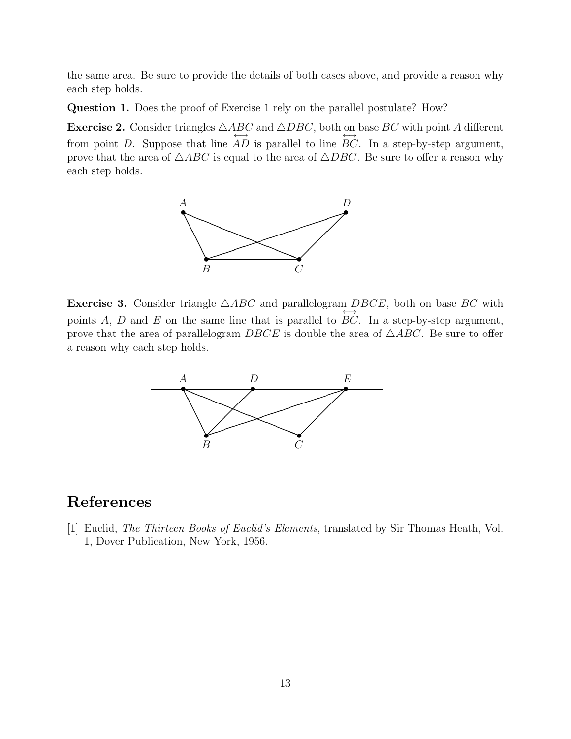the same area. Be sure to provide the details of both cases above, and provide a reason why each step holds.

Question 1. Does the proof of Exercise 1 rely on the parallel postulate? How?

**Exercise 2.** Consider triangles  $\triangle ABC$  and  $\triangle DBC$ , both on base  $BC$  with point A different from point D. Suppose that line  $AD$  is parallel to line  $BC$ . In a step-by-step argument, prove that the area of  $\triangle ABC$  is equal to the area of  $\triangle DBC$ . Be sure to offer a reason why each step holds.



**Exercise 3.** Consider triangle  $\triangle ABC$  and parallelogram  $DBCE$ , both on base BC with points  $A, D$  and  $E$  on the same line that is parallel to ←→ BC. In a step-by-step argument, prove that the area of parallelogram  $DBCE$  is double the area of  $\triangle ABC$ . Be sure to offer a reason why each step holds.



### References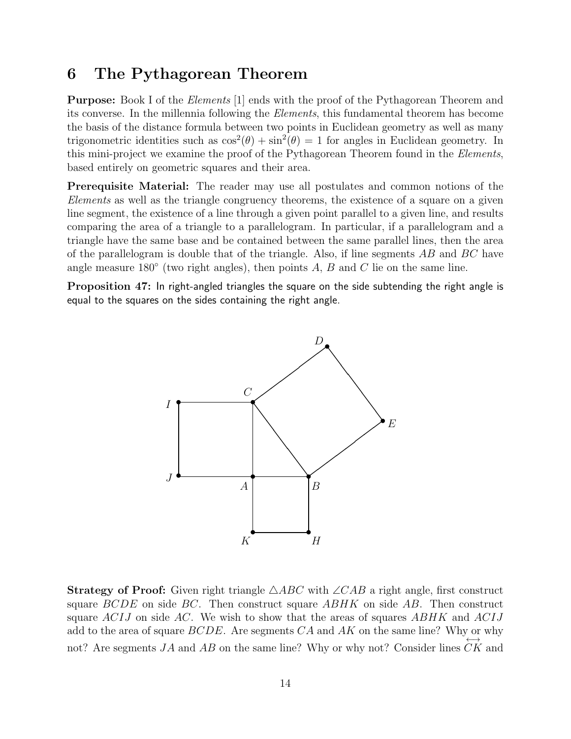### 6 The Pythagorean Theorem

**Purpose:** Book I of the *Elements* [1] ends with the proof of the Pythagorean Theorem and its converse. In the millennia following the Elements, this fundamental theorem has become the basis of the distance formula between two points in Euclidean geometry as well as many trigonometric identities such as  $\cos^2(\theta) + \sin^2(\theta) = 1$  for angles in Euclidean geometry. In this mini-project we examine the proof of the Pythagorean Theorem found in the Elements, based entirely on geometric squares and their area.

Prerequisite Material: The reader may use all postulates and common notions of the Elements as well as the triangle congruency theorems, the existence of a square on a given line segment, the existence of a line through a given point parallel to a given line, and results comparing the area of a triangle to a parallelogram. In particular, if a parallelogram and a triangle have the same base and be contained between the same parallel lines, then the area of the parallelogram is double that of the triangle. Also, if line segments  $AB$  and  $BC$  have angle measure 180 $\textdegree$  (two right angles), then points A, B and C lie on the same line.

Proposition 47: In right-angled triangles the square on the side subtending the right angle is equal to the squares on the sides containing the right angle.



**Strategy of Proof:** Given right triangle  $\triangle ABC$  with  $\angle CAB$  a right angle, first construct square  $BCDE$  on side  $BC$ . Then construct square  $ABHK$  on side AB. Then construct square  $ACIJ$  on side AC. We wish to show that the areas of squares ABHK and ACIJ add to the area of square  $BCDE$ . Are segments  $CA$  and  $AK$  on the same line? Why or why not? Are segments  $JA$  and  $AB$  on the same line? Why or why not? Consider lines  $CK$  and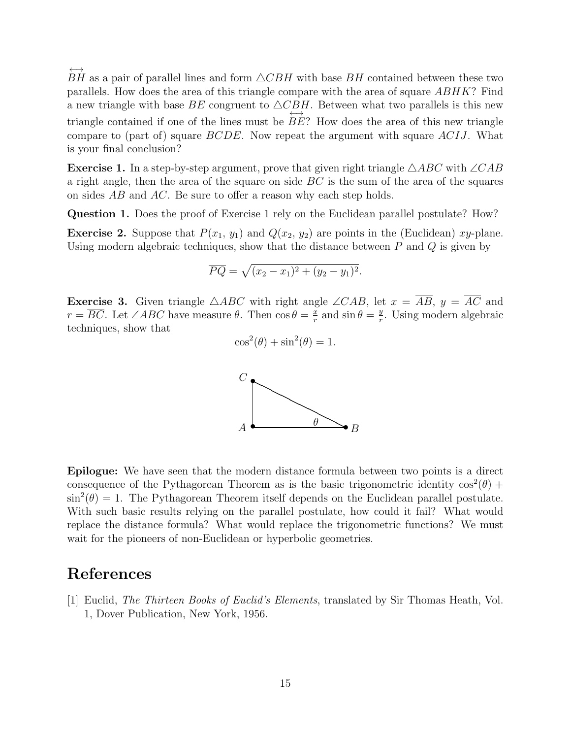←→ BH as a pair of parallel lines and form  $\triangle CBH$  with base BH contained between these two parallels. How does the area of this triangle compare with the area of square  $ABHK$ ? Find a new triangle with base BE congruent to  $\triangle C_{\longleftrightarrow}^{B}$ . Between what two parallels is this new triangle contained if one of the lines must be BE? How does the area of this new triangle compare to (part of) square BCDE. Now repeat the argument with square ACIJ. What is your final conclusion?

**Exercise 1.** In a step-by-step argument, prove that given right triangle  $\triangle ABC$  with  $\angle CAB$ a right angle, then the area of the square on side  $BC$  is the sum of the area of the squares on sides AB and AC. Be sure to offer a reason why each step holds.

Question 1. Does the proof of Exercise 1 rely on the Euclidean parallel postulate? How?

**Exercise 2.** Suppose that  $P(x_1, y_1)$  and  $Q(x_2, y_2)$  are points in the (Euclidean) xy-plane. Using modern algebraic techniques, show that the distance between  $P$  and  $Q$  is given by

$$
\overline{PQ} = \sqrt{(x_2 - x_1)^2 + (y_2 - y_1)^2}.
$$

**Exercise 3.** Given triangle  $\triangle ABC$  with right angle  $\angle CAB$ , let  $x = \overline{AB}$ ,  $y = \overline{AC}$  and  $r = \overline{BC}$ . Let  $\angle ABC$  have measure  $\theta$ . Then  $\cos \theta = \frac{x}{r}$  $rac{x}{r}$  and  $\sin \theta = \frac{y}{r}$  $\frac{y}{r}$ . Using modern algebraic techniques, show that

$$
\cos^2(\theta) + \sin^2(\theta) = 1.
$$



Epilogue: We have seen that the modern distance formula between two points is a direct consequence of the Pythagorean Theorem as is the basic trigonometric identity  $\cos^2(\theta)$  +  $\sin^2(\theta) = 1$ . The Pythagorean Theorem itself depends on the Euclidean parallel postulate. With such basic results relying on the parallel postulate, how could it fail? What would replace the distance formula? What would replace the trigonometric functions? We must wait for the pioneers of non-Euclidean or hyperbolic geometries.

#### References